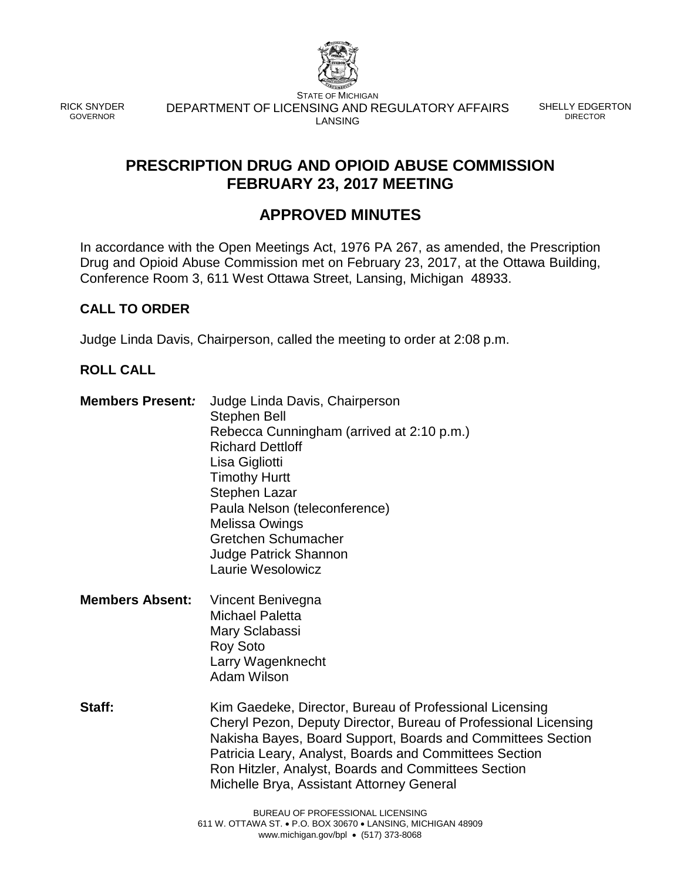

RICK SNYDER GOVERNOR

STATE OF MICHIGAN DEPARTMENT OF LICENSING AND REGULATORY AFFAIRS LANSING

SHELLY EDGERTON DIRECTOR

# **PRESCRIPTION DRUG AND OPIOID ABUSE COMMISSION FEBRUARY 23, 2017 MEETING**

# **APPROVED MINUTES**

In accordance with the Open Meetings Act, 1976 PA 267, as amended, the Prescription Drug and Opioid Abuse Commission met on February 23, 2017, at the Ottawa Building, Conference Room 3, 611 West Ottawa Street, Lansing, Michigan 48933.

# **CALL TO ORDER**

Judge Linda Davis, Chairperson, called the meeting to order at 2:08 p.m.

# **ROLL CALL**

- **Members Present***:* Judge Linda Davis, Chairperson Stephen Bell Rebecca Cunningham (arrived at 2:10 p.m.) Richard Dettloff Lisa Gigliotti Timothy Hurtt Stephen Lazar Paula Nelson (teleconference) Melissa Owings Gretchen Schumacher Judge Patrick Shannon Laurie Wesolowicz
- **Members Absent:** Vincent Benivegna Michael Paletta Mary Sclabassi Roy Soto Larry Wagenknecht Adam Wilson
- **Staff:** Kim Gaedeke, Director, Bureau of Professional Licensing Cheryl Pezon, Deputy Director, Bureau of Professional Licensing Nakisha Bayes, Board Support, Boards and Committees Section Patricia Leary, Analyst, Boards and Committees Section Ron Hitzler, Analyst, Boards and Committees Section Michelle Brya, Assistant Attorney General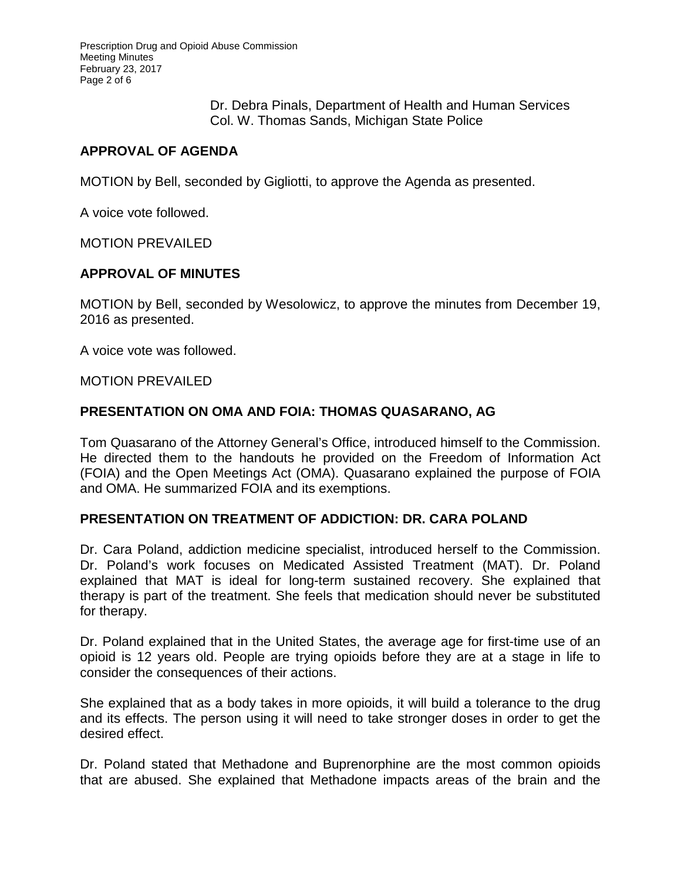Prescription Drug and Opioid Abuse Commission Meeting Minutes February 23, 2017 Page 2 of 6

> Dr. Debra Pinals, Department of Health and Human Services Col. W. Thomas Sands, Michigan State Police

# **APPROVAL OF AGENDA**

MOTION by Bell, seconded by Gigliotti, to approve the Agenda as presented.

A voice vote followed.

MOTION PREVAILED

## **APPROVAL OF MINUTES**

MOTION by Bell, seconded by Wesolowicz, to approve the minutes from December 19, 2016 as presented.

A voice vote was followed.

#### MOTION PREVAILED

# **PRESENTATION ON OMA AND FOIA: THOMAS QUASARANO, AG**

Tom Quasarano of the Attorney General's Office, introduced himself to the Commission. He directed them to the handouts he provided on the Freedom of Information Act (FOIA) and the Open Meetings Act (OMA). Quasarano explained the purpose of FOIA and OMA. He summarized FOIA and its exemptions.

#### **PRESENTATION ON TREATMENT OF ADDICTION: DR. CARA POLAND**

Dr. Cara Poland, addiction medicine specialist, introduced herself to the Commission. Dr. Poland's work focuses on Medicated Assisted Treatment (MAT). Dr. Poland explained that MAT is ideal for long-term sustained recovery. She explained that therapy is part of the treatment. She feels that medication should never be substituted for therapy.

Dr. Poland explained that in the United States, the average age for first-time use of an opioid is 12 years old. People are trying opioids before they are at a stage in life to consider the consequences of their actions.

She explained that as a body takes in more opioids, it will build a tolerance to the drug and its effects. The person using it will need to take stronger doses in order to get the desired effect.

Dr. Poland stated that Methadone and Buprenorphine are the most common opioids that are abused. She explained that Methadone impacts areas of the brain and the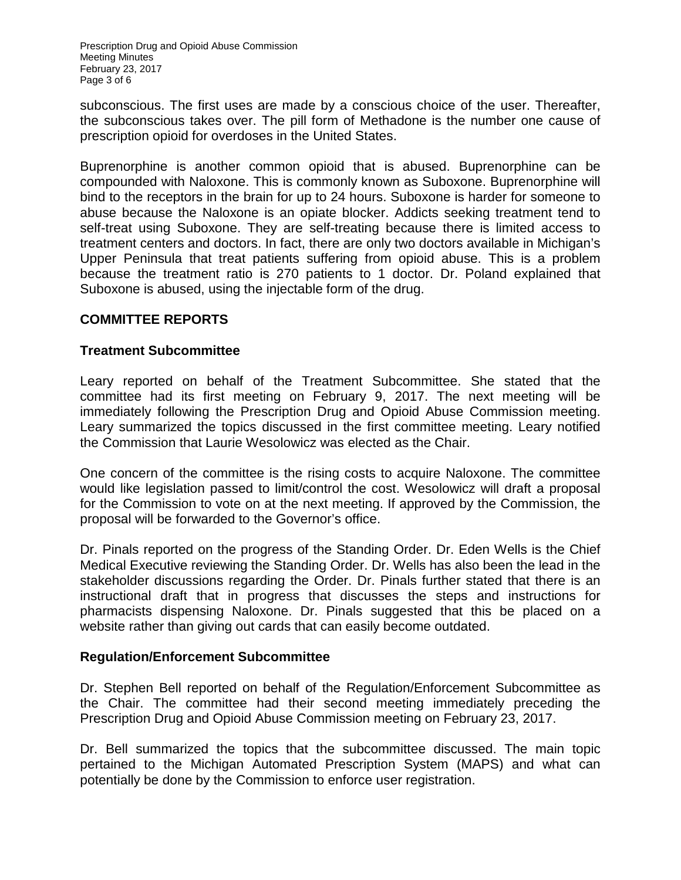Prescription Drug and Opioid Abuse Commission Meeting Minutes February 23, 2017 Page 3 of 6

subconscious. The first uses are made by a conscious choice of the user. Thereafter, the subconscious takes over. The pill form of Methadone is the number one cause of prescription opioid for overdoses in the United States.

Buprenorphine is another common opioid that is abused. Buprenorphine can be compounded with Naloxone. This is commonly known as Suboxone. Buprenorphine will bind to the receptors in the brain for up to 24 hours. Suboxone is harder for someone to abuse because the Naloxone is an opiate blocker. Addicts seeking treatment tend to self-treat using Suboxone. They are self-treating because there is limited access to treatment centers and doctors. In fact, there are only two doctors available in Michigan's Upper Peninsula that treat patients suffering from opioid abuse. This is a problem because the treatment ratio is 270 patients to 1 doctor. Dr. Poland explained that Suboxone is abused, using the injectable form of the drug.

# **COMMITTEE REPORTS**

## **Treatment Subcommittee**

Leary reported on behalf of the Treatment Subcommittee. She stated that the committee had its first meeting on February 9, 2017. The next meeting will be immediately following the Prescription Drug and Opioid Abuse Commission meeting. Leary summarized the topics discussed in the first committee meeting. Leary notified the Commission that Laurie Wesolowicz was elected as the Chair.

One concern of the committee is the rising costs to acquire Naloxone. The committee would like legislation passed to limit/control the cost. Wesolowicz will draft a proposal for the Commission to vote on at the next meeting. If approved by the Commission, the proposal will be forwarded to the Governor's office.

Dr. Pinals reported on the progress of the Standing Order. Dr. Eden Wells is the Chief Medical Executive reviewing the Standing Order. Dr. Wells has also been the lead in the stakeholder discussions regarding the Order. Dr. Pinals further stated that there is an instructional draft that in progress that discusses the steps and instructions for pharmacists dispensing Naloxone. Dr. Pinals suggested that this be placed on a website rather than giving out cards that can easily become outdated.

#### **Regulation/Enforcement Subcommittee**

Dr. Stephen Bell reported on behalf of the Regulation/Enforcement Subcommittee as the Chair. The committee had their second meeting immediately preceding the Prescription Drug and Opioid Abuse Commission meeting on February 23, 2017.

Dr. Bell summarized the topics that the subcommittee discussed. The main topic pertained to the Michigan Automated Prescription System (MAPS) and what can potentially be done by the Commission to enforce user registration.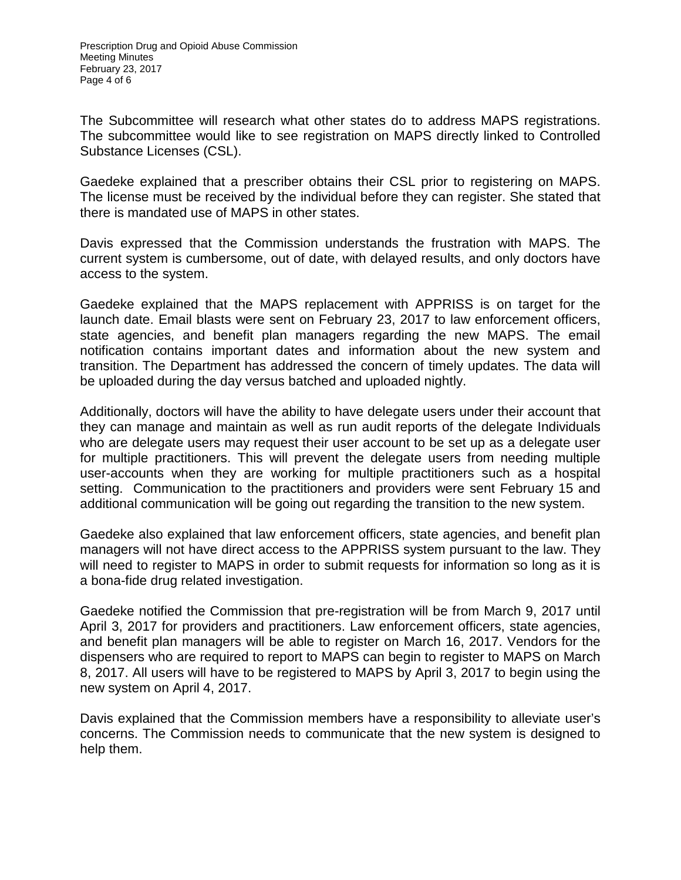The Subcommittee will research what other states do to address MAPS registrations. The subcommittee would like to see registration on MAPS directly linked to Controlled Substance Licenses (CSL).

Gaedeke explained that a prescriber obtains their CSL prior to registering on MAPS. The license must be received by the individual before they can register. She stated that there is mandated use of MAPS in other states.

Davis expressed that the Commission understands the frustration with MAPS. The current system is cumbersome, out of date, with delayed results, and only doctors have access to the system.

Gaedeke explained that the MAPS replacement with APPRISS is on target for the launch date. Email blasts were sent on February 23, 2017 to law enforcement officers, state agencies, and benefit plan managers regarding the new MAPS. The email notification contains important dates and information about the new system and transition. The Department has addressed the concern of timely updates. The data will be uploaded during the day versus batched and uploaded nightly.

Additionally, doctors will have the ability to have delegate users under their account that they can manage and maintain as well as run audit reports of the delegate Individuals who are delegate users may request their user account to be set up as a delegate user for multiple practitioners. This will prevent the delegate users from needing multiple user-accounts when they are working for multiple practitioners such as a hospital setting. Communication to the practitioners and providers were sent February 15 and additional communication will be going out regarding the transition to the new system.

Gaedeke also explained that law enforcement officers, state agencies, and benefit plan managers will not have direct access to the APPRISS system pursuant to the law. They will need to register to MAPS in order to submit requests for information so long as it is a bona-fide drug related investigation.

Gaedeke notified the Commission that pre-registration will be from March 9, 2017 until April 3, 2017 for providers and practitioners. Law enforcement officers, state agencies, and benefit plan managers will be able to register on March 16, 2017. Vendors for the dispensers who are required to report to MAPS can begin to register to MAPS on March 8, 2017. All users will have to be registered to MAPS by April 3, 2017 to begin using the new system on April 4, 2017.

Davis explained that the Commission members have a responsibility to alleviate user's concerns. The Commission needs to communicate that the new system is designed to help them.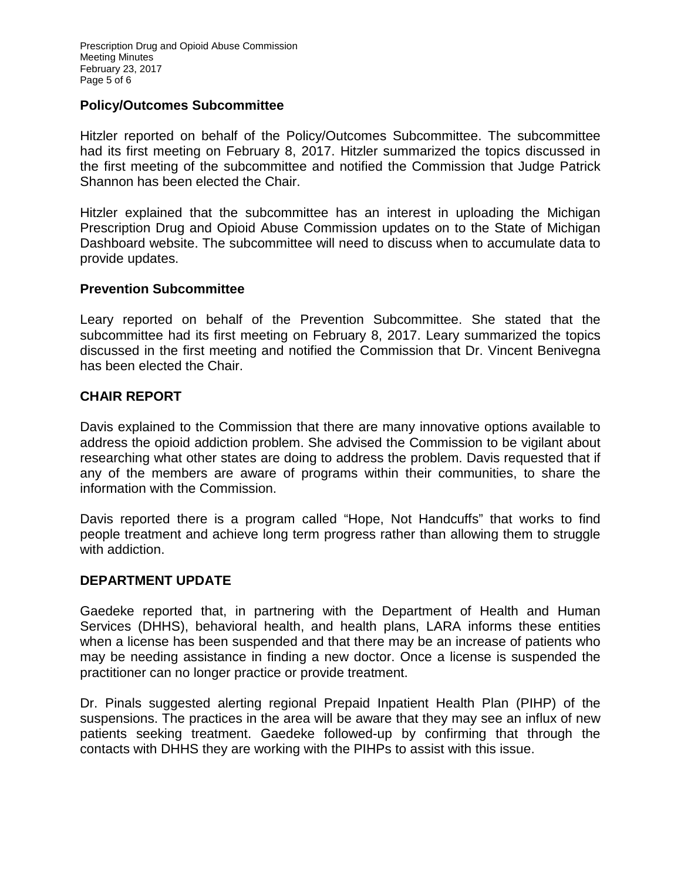Prescription Drug and Opioid Abuse Commission Meeting Minutes February 23, 2017 Page 5 of 6

#### **Policy/Outcomes Subcommittee**

Hitzler reported on behalf of the Policy/Outcomes Subcommittee. The subcommittee had its first meeting on February 8, 2017. Hitzler summarized the topics discussed in the first meeting of the subcommittee and notified the Commission that Judge Patrick Shannon has been elected the Chair.

Hitzler explained that the subcommittee has an interest in uploading the Michigan Prescription Drug and Opioid Abuse Commission updates on to the State of Michigan Dashboard website. The subcommittee will need to discuss when to accumulate data to provide updates.

## **Prevention Subcommittee**

Leary reported on behalf of the Prevention Subcommittee. She stated that the subcommittee had its first meeting on February 8, 2017. Leary summarized the topics discussed in the first meeting and notified the Commission that Dr. Vincent Benivegna has been elected the Chair.

## **CHAIR REPORT**

Davis explained to the Commission that there are many innovative options available to address the opioid addiction problem. She advised the Commission to be vigilant about researching what other states are doing to address the problem. Davis requested that if any of the members are aware of programs within their communities, to share the information with the Commission.

Davis reported there is a program called "Hope, Not Handcuffs" that works to find people treatment and achieve long term progress rather than allowing them to struggle with addiction.

#### **DEPARTMENT UPDATE**

Gaedeke reported that, in partnering with the Department of Health and Human Services (DHHS), behavioral health, and health plans, LARA informs these entities when a license has been suspended and that there may be an increase of patients who may be needing assistance in finding a new doctor. Once a license is suspended the practitioner can no longer practice or provide treatment.

Dr. Pinals suggested alerting regional Prepaid Inpatient Health Plan (PIHP) of the suspensions. The practices in the area will be aware that they may see an influx of new patients seeking treatment. Gaedeke followed-up by confirming that through the contacts with DHHS they are working with the PIHPs to assist with this issue.